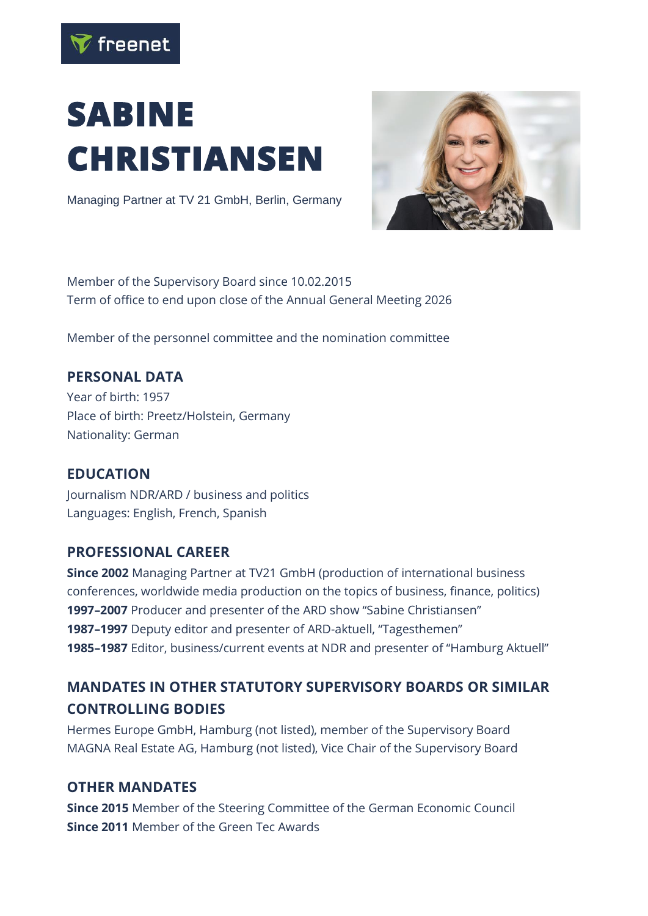

# **SABINE CHRISTIANSEN**

Managing Partner at TV 21 GmbH, Berlin, Germany



Member of the Supervisory Board since 10.02.2015 Term of office to end upon close of the Annual General Meeting 2026

Member of the personnel committee and the nomination committee

# **PERSONAL DATA**

Year of birth: 1957 Place of birth: Preetz/Holstein, Germany Nationality: German

## **EDUCATION**

Journalism NDR/ARD / business and politics Languages: English, French, Spanish

#### **PROFESSIONAL CAREER**

**Since 2002** Managing Partner at TV21 GmbH (production of international business conferences, worldwide media production on the topics of business, finance, politics) **1997–2007** Producer and presenter of the ARD show "Sabine Christiansen" **1987–1997** Deputy editor and presenter of ARD-aktuell, "Tagesthemen" **1985–1987** Editor, business/current events at NDR and presenter of "Hamburg Aktuell"

# **MANDATES IN OTHER STATUTORY SUPERVISORY BOARDS OR SIMILAR CONTROLLING BODIES**

Hermes Europe GmbH, Hamburg (not listed), member of the Supervisory Board MAGNA Real Estate AG, Hamburg (not listed), Vice Chair of the Supervisory Board

## **OTHER MANDATES**

**Since 2015** Member of the Steering Committee of the German Economic Council **Since 2011** Member of the Green Tec Awards